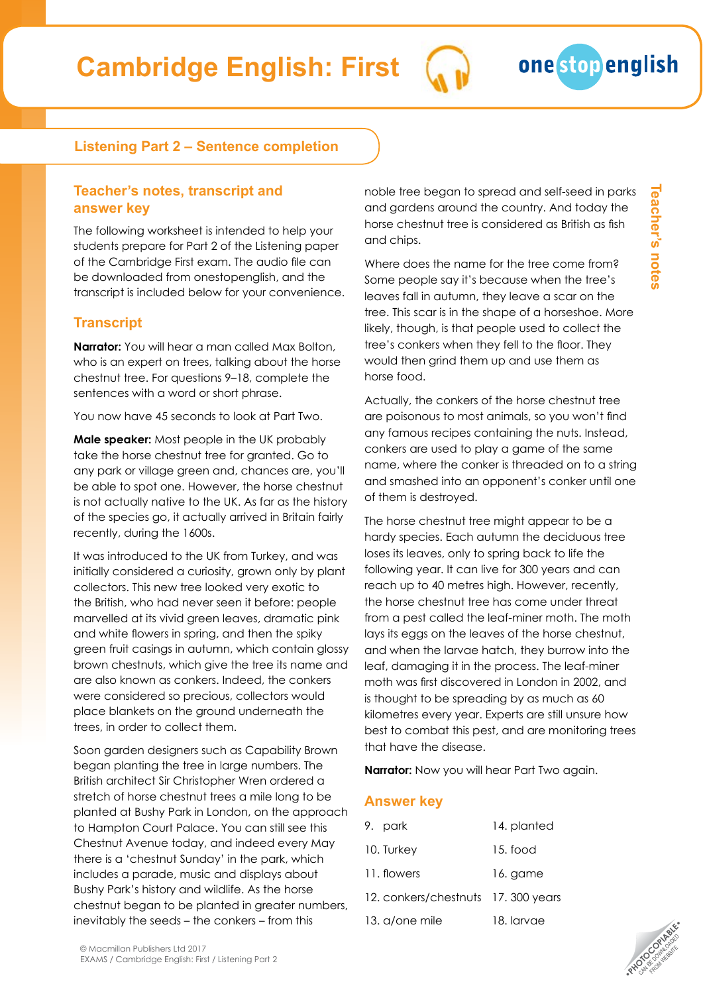## **Listening Part 2 – Sentence completion**

#### **Teacher's notes, transcript and answer key**

The following worksheet is intended to help your students prepare for Part 2 of the Listening paper of the Cambridge First exam. The audio file can be downloaded from onestopenglish, and the transcript is included below for your convenience.

# **Transcript**

**Narrator:** You will hear a man called Max Bolton, who is an expert on trees, talking about the horse chestnut tree. For questions 9–18, complete the sentences with a word or short phrase.

You now have 45 seconds to look at Part Two.

**Male speaker:** Most people in the UK probably take the horse chestnut tree for granted. Go to any park or village green and, chances are, you'll be able to spot one. However, the horse chestnut is not actually native to the UK. As far as the history of the species go, it actually arrived in Britain fairly recently, during the 1600s.

It was introduced to the UK from Turkey, and was initially considered a curiosity, grown only by plant collectors. This new tree looked very exotic to the British, who had never seen it before: people marvelled at its vivid green leaves, dramatic pink and white flowers in spring, and then the spiky green fruit casings in autumn, which contain glossy brown chestnuts, which give the tree its name and are also known as conkers. Indeed, the conkers were considered so precious, collectors would place blankets on the ground underneath the trees, in order to collect them.

Soon garden designers such as Capability Brown began planting the tree in large numbers. The British architect Sir Christopher Wren ordered a stretch of horse chestnut trees a mile long to be planted at Bushy Park in London, on the approach to Hampton Court Palace. You can still see this Chestnut Avenue today, and indeed every May there is a 'chestnut Sunday' in the park, which includes a parade, music and displays about Bushy Park's history and wildlife. As the horse chestnut began to be planted in greater numbers, inevitably the seeds – the conkers – from this

noble tree began to spread and self-seed in parks and gardens around the country. And today the horse chestnut tree is considered as British as fish and chips.

Where does the name for the tree come from? Some people say it's because when the tree's leaves fall in autumn, they leave a scar on the tree. This scar is in the shape of a horseshoe. More likely, though, is that people used to collect the tree's conkers when they fell to the floor. They would then grind them up and use them as horse food.

Actually, the conkers of the horse chestnut tree are poisonous to most animals, so you won't find any famous recipes containing the nuts. Instead, conkers are used to play a game of the same name, where the conker is threaded on to a string and smashed into an opponent's conker until one of them is destroyed.

The horse chestnut tree might appear to be a hardy species. Each autumn the deciduous tree loses its leaves, only to spring back to life the following year. It can live for 300 years and can reach up to 40 metres high. However, recently, the horse chestnut tree has come under threat from a pest called the leaf-miner moth. The moth lays its eggs on the leaves of the horse chestnut, and when the larvae hatch, they burrow into the leaf, damaging it in the process. The leaf-miner moth was first discovered in London in 2002, and is thought to be spreading by as much as 60 kilometres every year. Experts are still unsure how best to combat this pest, and are monitoring trees that have the disease.

**Narrator:** Now you will hear Part Two again.

### **Answer key**

| 9. park                             | 14. planted |
|-------------------------------------|-------------|
| 10. Turkey                          | 15. food    |
| 11. flowers                         | 16. game    |
| 12. conkers/chestnuts 17, 300 years |             |
| 13. a/one mile                      | 18. larvae  |
|                                     |             |